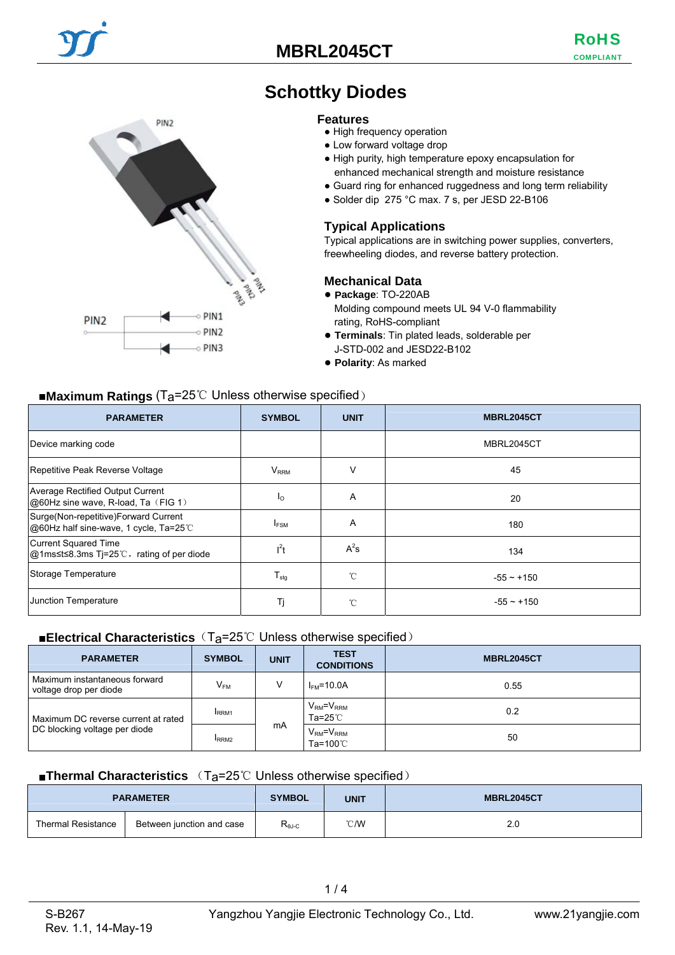## **MBRL2045CT**

COMPLIANT RoHS



# **Schottky Diodes**

#### **Features**

- High frequency operation
- Low forward voltage drop
- High purity, high temperature epoxy encapsulation for enhanced mechanical strength and moisture resistance
- Guard ring for enhanced ruggedness and long term reliability
- Solder dip 275 °C max. 7 s, per JESD 22-B106

#### **Typical Applications**

Typical applications are in switching power supplies, converters, freewheeling diodes, and reverse battery protection.

#### **Mechanical Data**

- **Package**: TO-220AB
- Molding compound meets UL 94 V-0 flammability rating, RoHS-compliant
- **Terminals**: Tin plated leads, solderable per J-STD-002 and JESD22-B102
- **Polarity**: As marked

#### ■**Maximum Ratings** (Ta=25℃ Unless otherwise specified)

| <b>PARAMETER</b>                                                               | <b>SYMBOL</b>    | <b>UNIT</b> | <b>MBRL2045CT</b> |
|--------------------------------------------------------------------------------|------------------|-------------|-------------------|
| Device marking code                                                            |                  |             | MBRL2045CT        |
| Repetitive Peak Reverse Voltage                                                | $V_{\rm RRM}$    | v           | 45                |
| <b>Average Rectified Output Current</b><br>@60Hz sine wave, R-load, Ta (FIG 1) | Ιo               | A           | 20                |
| Surge(Non-repetitive)Forward Current<br>@60Hz half sine-wave, 1 cycle, Ta=25°C | <b>IFSM</b>      | A           | 180               |
| Current Squared Time<br>@1ms≤t≤8.3ms Tj=25℃, rating of per diode               | $l^2t$           | $A^2s$      | 134               |
| Storage Temperature                                                            | $T_{\text{stg}}$ | °C          | $-55 \sim +150$   |
| Junction Temperature                                                           | Τj               | °C          | $-55 - +150$      |

#### ■**Electrical Characteristics** (T<sub>a</sub>=25℃ Unless otherwise specified)

| <b>PARAMETER</b>                                                     | <b>SYMBOL</b>    | <b>UNIT</b> | <b>TEST</b><br><b>CONDITIONS</b> | <b>MBRL2045CT</b> |
|----------------------------------------------------------------------|------------------|-------------|----------------------------------|-------------------|
| Maximum instantaneous forward<br>voltage drop per diode              | $V_{FM}$         | V           | $IFM=10.0A$                      | 0.55              |
| Maximum DC reverse current at rated<br>DC blocking voltage per diode | RRM <sub>1</sub> | mA          | $VRM = VRRM$<br>Ta=25℃           | 0.2               |
|                                                                      | RRM <sub>2</sub> |             | $VRM=VRRM$<br>Ta=100 $\degree$ C | 50                |

#### ■**Thermal Characteristics** (T<sub>a</sub>=25℃ Unless otherwise specified)

|                           | <b>PARAMETER</b>          | <b>SYMBOL</b>    | <b>UNIT</b>   | <b>MBRL2045CT</b> |
|---------------------------|---------------------------|------------------|---------------|-------------------|
| <b>Thermal Resistance</b> | Between junction and case | $R_{\theta J-C}$ | $\degree$ C/W | 2.0               |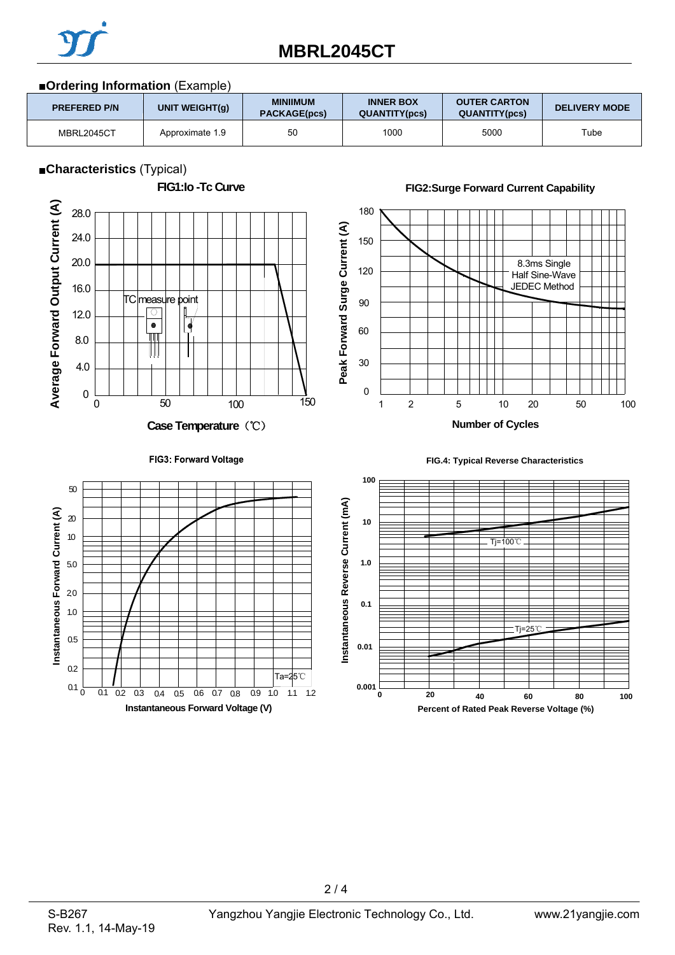

# **MBRL2045CT**

## ■**Ordering Information** (Example)

| _________           |                 |                                 |                                          |                                             |                      |
|---------------------|-----------------|---------------------------------|------------------------------------------|---------------------------------------------|----------------------|
| <b>PREFERED P/N</b> | UNIT WEIGHT(g)  | <b>MINIIMUM</b><br>PACKAGE(pcs) | <b>INNER BOX</b><br><b>QUANTITY(pcs)</b> | <b>OUTER CARTON</b><br><b>QUANTITY(pcs)</b> | <b>DELIVERY MODE</b> |
| MBRL2045CT          | Approximate 1.9 | 50                              | 1000                                     | 5000                                        | Tube                 |

### ■**Characteristics** (Typical)



 $2/4$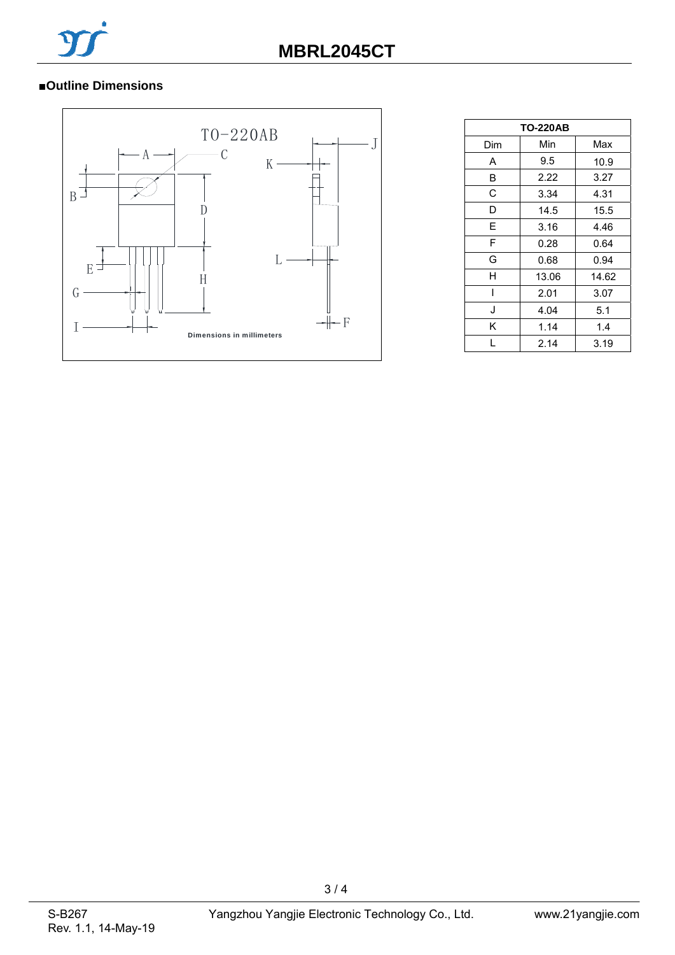

## ■**Outline Dimensions**



| <b>TO-220AB</b> |       |       |  |  |  |
|-----------------|-------|-------|--|--|--|
| Dim             | Min   | Max   |  |  |  |
| A               | 9.5   | 10.9  |  |  |  |
| B               | 2.22  | 3.27  |  |  |  |
| C               | 3.34  | 4.31  |  |  |  |
| D               | 14.5  | 15.5  |  |  |  |
| E               | 3.16  | 4.46  |  |  |  |
| F               | 0.28  | 0.64  |  |  |  |
| G               | 0.68  | 0.94  |  |  |  |
| н               | 13.06 | 14.62 |  |  |  |
| I               | 2.01  | 3.07  |  |  |  |
| J               | 4.04  | 5.1   |  |  |  |
| K               | 1.14  | 1.4   |  |  |  |
| L               | 2.14  | 3.19  |  |  |  |

3 / 4